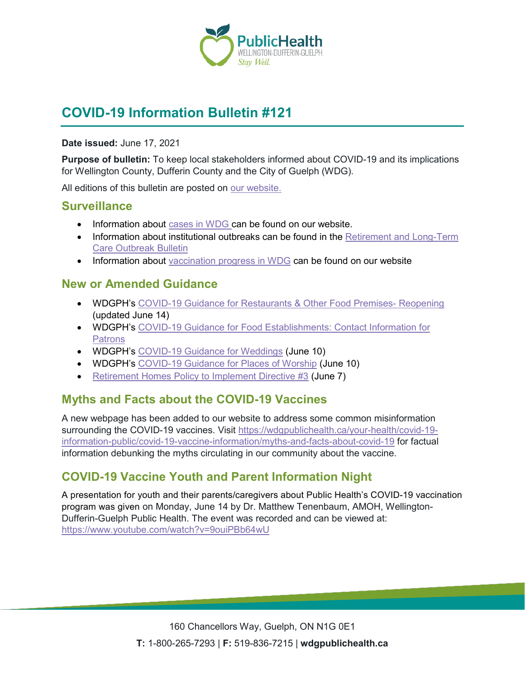

# **COVID-19 Information Bulletin #121**

#### **Date issued:** June 17, 2021

**Purpose of bulletin:** To keep local stakeholders informed about COVID-19 and its implications for Wellington County, Dufferin County and the City of Guelph (WDG).

All editions of this bulletin are posted on [our website.](https://www.wdgpublichealth.ca/your-health/covid-19-information-workplaces-and-living-spaces/community-stakeholder-bulletins)

#### **Surveillance**

- Information about [cases in WDG](https://wdgpublichealth.ca/your-health/covid-19-information-public/status-cases-wdg) can be found on our website.
- Information about institutional outbreaks can be found in the Retirement and Long-Term [Care Outbreak Bulletin](https://wdgpublichealth.ca/node/1542)
- Information about [vaccination progress](https://www.wdgpublichealth.ca/your-health/covid-19-information-public/covid-19-vaccine-information-public) in WDG can be found on our website

#### **New or Amended Guidance**

- WDGPH's [COVID-19 Guidance for Restaurants](https://www.wdgpublichealth.ca/sites/default/files/covid-19_guidance_restaurants_and_other_food_premises_-_reopening.pdf) & Other Food Premises- Reopening (updated June 14)
- WDGPH's [COVID-19 Guidance for Food Establishments: Contact Information for](https://wdgpublichealth.ca/sites/default/files/covid19_contact_info_template_food_premises_-_y_o_r.pdf)  [Patrons](https://wdgpublichealth.ca/sites/default/files/covid19_contact_info_template_food_premises_-_y_o_r.pdf)
- WDGPH's [COVID-19 Guidance for Weddings](https://www.wdgpublichealth.ca/sites/default/files/wedding_2021_reopening_.pdf) (June 10)
- WDGPH's [COVID-19 Guidance for Places of Worship](https://www.wdgpublichealth.ca/sites/default/files/places_of_worship_reopening_2021_.pdf) (June 10)
- [Retirement Homes Policy to Implement Directive #3](https://www.health.gov.on.ca/en/pro/programs/publichealth/coronavirus/docs/retirement_homes_visiting_policy_guidance.pdf) (June 7)

### **Myths and Facts about the COVID-19 Vaccines**

A new webpage has been added to our website to address some common misinformation surrounding the COVID-19 vaccines. Visit [https://wdgpublichealth.ca/your-health/covid-19](https://wdgpublichealth.ca/your-health/covid-19-information-public/covid-19-vaccine-information/myths-and-facts-about-covid-19) [information-public/covid-19-vaccine-information/myths-and-facts-about-covid-19](https://wdgpublichealth.ca/your-health/covid-19-information-public/covid-19-vaccine-information/myths-and-facts-about-covid-19) for factual information debunking the myths circulating in our community about the vaccine.

### **COVID-19 Vaccine Youth and Parent Information Night**

A presentation for youth and their parents/caregivers about Public Health's COVID-19 vaccination program was given on Monday, June 14 by Dr. Matthew Tenenbaum, AMOH, Wellington-Dufferin-Guelph Public Health. The event was recorded and can be viewed at: <https://www.youtube.com/watch?v=9ouiPBb64wU>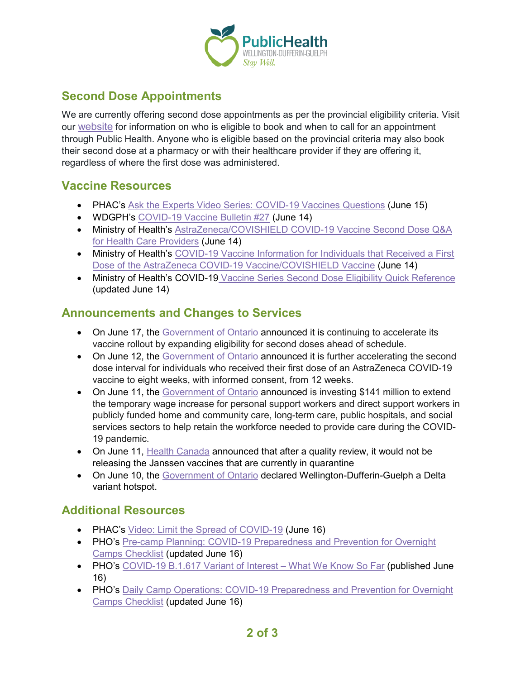

# **Second Dose Appointments**

We are currently offering second dose appointments as per the provincial eligibility criteria. Visit our [website](https://wdgpublichealth.ca/your-health/covid-19-information-public/covid-19-vaccine-information/first-and-second-dose) for information on who is eligible to book and when to call for an appointment through Public Health. Anyone who is eligible based on the provincial criteria may also book their second dose at a pharmacy or with their healthcare provider if they are offering it, regardless of where the first dose was administered.

### **Vaccine Resources**

- PHAC's [Ask the Experts Video Series: COVID-19 Vaccines Questions](https://www.canada.ca/en/health-canada/services/video/ask-experts-covid-19-vaccines.html) (June 15)
- WDGPH's [COVID-19 Vaccine Bulletin #27](https://www.wdgpublichealth.ca/sites/default/files/wdgph_covid-19_vaccine_bulletin_27_june_14_2021.pdf) (June 14)
- Ministry of Health's [AstraZeneca/COVISHIELD COVID-19 Vaccine Second Dose Q&A](https://www.health.gov.on.ca/en/pro/programs/publichealth/coronavirus/docs/vaccine/providers_AZ_QA_second_dose.pdf)  [for Health Care Providers](https://www.health.gov.on.ca/en/pro/programs/publichealth/coronavirus/docs/vaccine/providers_AZ_QA_second_dose.pdf) (June 14)
- Ministry of Health's [COVID-19 Vaccine Information for Individuals that Received a First](https://www.health.gov.on.ca/en/pro/programs/publichealth/coronavirus/docs/vaccine/COVID-19_vaccine_info_AZ_2nd_dose.pdf)  [Dose of the AstraZeneca COVID-19 Vaccine/COVISHIELD Vaccine](https://www.health.gov.on.ca/en/pro/programs/publichealth/coronavirus/docs/vaccine/COVID-19_vaccine_info_AZ_2nd_dose.pdf) (June 14)
- Ministry of Health's COVID-19 [Vaccine Series Second Dose Eligibility Quick Reference](https://www.health.gov.on.ca/en/pro/programs/publichealth/coronavirus/docs/vaccine/COVID-19_vaccine_series_quick_ref_chart.pdf) (updated June 14)

### **Announcements and Changes to Services**

- On June 17, the [Government of Ontario](https://news.ontario.ca/en/release/1000367/accelerated-second-dose-eligibility-continues-ahead-of-schedule) announced it is continuing to accelerate its vaccine rollout by expanding eligibility for second doses ahead of schedule.
- On June 12, the [Government of Ontario](https://news.ontario.ca/en/release/1000329/ontario-accelerates-second-doses-of-astrazeneca-covid-19-vaccine) announced it is further accelerating the second dose interval for individuals who received their first dose of an AstraZeneca COVID-19 vaccine to eight weeks, with informed consent, from 12 weeks.
- On June 11, the [Government of Ontario](https://news.ontario.ca/en/release/1000284/ontario-extending-temporary-wage-increase-for-personal-support-workers) announced is investing \$141 million to extend the temporary wage increase for personal support workers and direct support workers in publicly funded home and community care, long-term care, public hospitals, and social services sectors to help retain the workforce needed to provide care during the COVID-19 pandemic.
- On June 11, [Health Canada](https://www.canada.ca/en/health-canada/news/2021/06/update-on-janssen-covid-19-vaccines-made-with-drug-substance-from-emergent-biosolutions.html) announced that after a quality review, it would not be releasing the Janssen vaccines that are currently in quarantine
- On June 10, the [Government of Ontario](https://news.ontario.ca/en/release/1000317/ontario-further-accelerates-second-doses-in-delta-hot-spots) declared Wellington-Dufferin-Guelph a Delta variant hotspot.

## **Additional Resources**

- PHAC's [Video: Limit the Spread of COVID-19](https://www.canada.ca/en/public-health/services/video/covid-19-limit-spread.html) (June 16)
- PHO's [Pre-camp Planning: COVID-19 Preparedness and Prevention for Overnight](https://www.publichealthontario.ca/-/media/documents/ncov/sch/2021/06/covid-19-overnight-camps-pre-planning-preparedness-prevention.pdf?la=en)  [Camps Checklist](https://www.publichealthontario.ca/-/media/documents/ncov/sch/2021/06/covid-19-overnight-camps-pre-planning-preparedness-prevention.pdf?la=en) (updated June 16)
- PHO's [COVID-19 B.1.617 Variant of Interest –](https://www.publichealthontario.ca/-/media/documents/ncov/covid-wwksf/2021/06/wwksf-covid-19-b1617.pdf?la=en) What We Know So Far (published June 16)
- PHO's Daily Camp Operations: COVID-19 Preparedness and Prevention for Overnight [Camps Checklist](https://www.publichealthontario.ca/-/media/documents/ncov/sch/2021/06/covid-19-overnight-camps-operations-preparedness-prevention.pdf?la=en) (updated June 16)